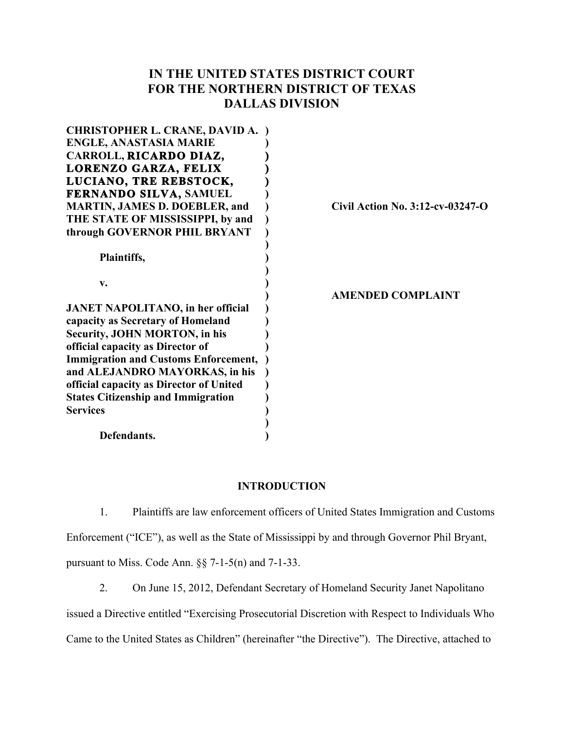# **IN THE UNITED STATES DISTRICT COURT FOR THE NORTHERN DISTRICT OF TEXAS DALLAS DIVISION**

| <b>CHRISTOPHER L. CRANE, DAVID A. )</b>     |                                  |
|---------------------------------------------|----------------------------------|
| <b>ENGLE, ANASTASIA MARIE</b>               |                                  |
| CARROLL, RICARDO DIAZ,                      |                                  |
| LORENZO GARZA, FELIX                        |                                  |
| LUCIANO, TRE REBSTOCK,                      |                                  |
| <b>FERNANDO SILVA, SAMUEL</b>               |                                  |
| <b>MARTIN, JAMES D. DOEBLER, and</b>        | Civil Action No. 3:12-cv-03247-O |
| THE STATE OF MISSISSIPPI, by and            |                                  |
| through GOVERNOR PHIL BRYANT                |                                  |
|                                             |                                  |
| Plaintiffs,                                 |                                  |
|                                             |                                  |
| V.                                          |                                  |
|                                             | <b>AMENDED COMPLAINT</b>         |
| <b>JANET NAPOLITANO</b> , in her official   |                                  |
| capacity as Secretary of Homeland           |                                  |
| <b>Security, JOHN MORTON, in his</b>        |                                  |
| official capacity as Director of            |                                  |
| <b>Immigration and Customs Enforcement,</b> |                                  |
| and ALEJANDRO MAYORKAS, in his              |                                  |
| official capacity as Director of United     |                                  |
| <b>States Citizenship and Immigration</b>   |                                  |
| <b>Services</b>                             |                                  |
|                                             |                                  |
| Defendants.                                 |                                  |
|                                             |                                  |

### **INTRODUCTION**

1. Plaintiffs are law enforcement officers of United States Immigration and Customs Enforcement ("ICE"), as well as the State of Mississippi by and through Governor Phil Bryant, pursuant to Miss. Code Ann. §§ 7-1-5(n) and 7-1-33.

2. On June 15, 2012, Defendant Secretary of Homeland Security Janet Napolitano issued a Directive entitled "Exercising Prosecutorial Discretion with Respect to Individuals Who Came to the United States as Children" (hereinafter "the Directive"). The Directive, attached to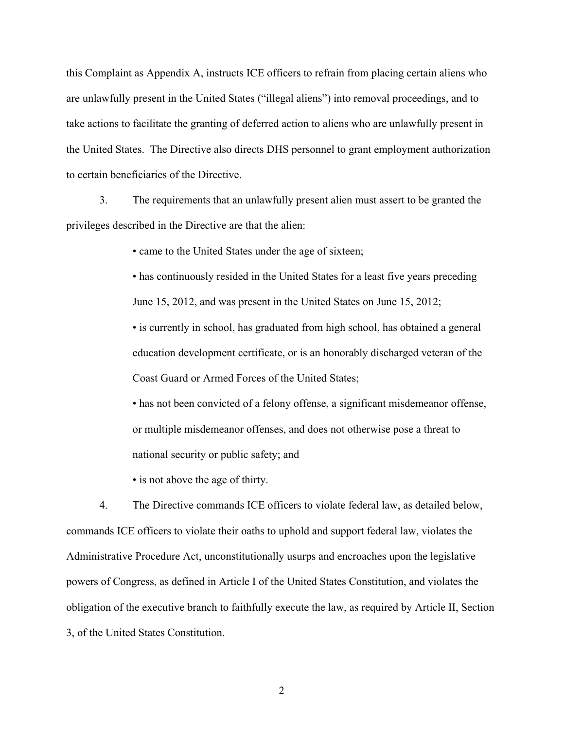this Complaint as Appendix A, instructs ICE officers to refrain from placing certain aliens who are unlawfully present in the United States ("illegal aliens") into removal proceedings, and to take actions to facilitate the granting of deferred action to aliens who are unlawfully present in the United States. The Directive also directs DHS personnel to grant employment authorization to certain beneficiaries of the Directive.

3. The requirements that an unlawfully present alien must assert to be granted the privileges described in the Directive are that the alien:

• came to the United States under the age of sixteen;

• has continuously resided in the United States for a least five years preceding June 15, 2012, and was present in the United States on June 15, 2012;

• is currently in school, has graduated from high school, has obtained a general education development certificate, or is an honorably discharged veteran of the Coast Guard or Armed Forces of the United States;

• has not been convicted of a felony offense, a significant misdemeanor offense, or multiple misdemeanor offenses, and does not otherwise pose a threat to national security or public safety; and

• is not above the age of thirty.

4. The Directive commands ICE officers to violate federal law, as detailed below, commands ICE officers to violate their oaths to uphold and support federal law, violates the Administrative Procedure Act, unconstitutionally usurps and encroaches upon the legislative powers of Congress, as defined in Article I of the United States Constitution, and violates the obligation of the executive branch to faithfully execute the law, as required by Article II, Section 3, of the United States Constitution.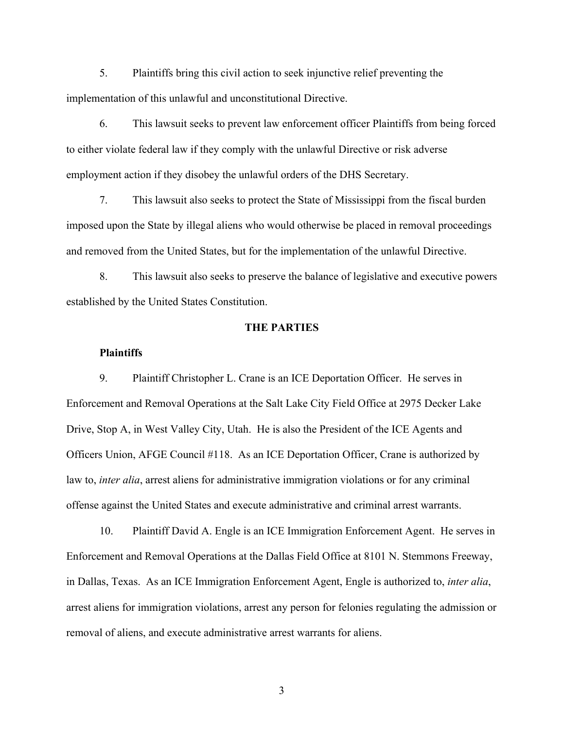5. Plaintiffs bring this civil action to seek injunctive relief preventing the implementation of this unlawful and unconstitutional Directive.

6. This lawsuit seeks to prevent law enforcement officer Plaintiffs from being forced to either violate federal law if they comply with the unlawful Directive or risk adverse employment action if they disobey the unlawful orders of the DHS Secretary.

7. This lawsuit also seeks to protect the State of Mississippi from the fiscal burden imposed upon the State by illegal aliens who would otherwise be placed in removal proceedings and removed from the United States, but for the implementation of the unlawful Directive.

8. This lawsuit also seeks to preserve the balance of legislative and executive powers established by the United States Constitution.

### **THE PARTIES**

# **Plaintiffs**

9. Plaintiff Christopher L. Crane is an ICE Deportation Officer. He serves in Enforcement and Removal Operations at the Salt Lake City Field Office at 2975 Decker Lake Drive, Stop A, in West Valley City, Utah. He is also the President of the ICE Agents and Officers Union, AFGE Council #118. As an ICE Deportation Officer, Crane is authorized by law to, *inter alia*, arrest aliens for administrative immigration violations or for any criminal offense against the United States and execute administrative and criminal arrest warrants.

10. Plaintiff David A. Engle is an ICE Immigration Enforcement Agent. He serves in Enforcement and Removal Operations at the Dallas Field Office at 8101 N. Stemmons Freeway, in Dallas, Texas. As an ICE Immigration Enforcement Agent, Engle is authorized to, *inter alia*, arrest aliens for immigration violations, arrest any person for felonies regulating the admission or removal of aliens, and execute administrative arrest warrants for aliens.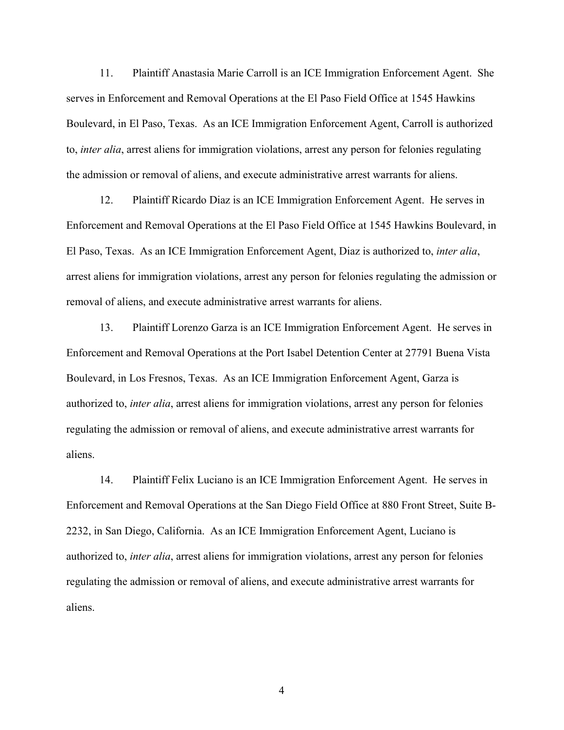11. Plaintiff Anastasia Marie Carroll is an ICE Immigration Enforcement Agent. She serves in Enforcement and Removal Operations at the El Paso Field Office at 1545 Hawkins Boulevard, in El Paso, Texas. As an ICE Immigration Enforcement Agent, Carroll is authorized to, *inter alia*, arrest aliens for immigration violations, arrest any person for felonies regulating the admission or removal of aliens, and execute administrative arrest warrants for aliens.

12. Plaintiff Ricardo Diaz is an ICE Immigration Enforcement Agent. He serves in Enforcement and Removal Operations at the El Paso Field Office at 1545 Hawkins Boulevard, in El Paso, Texas. As an ICE Immigration Enforcement Agent, Diaz is authorized to, *inter alia*, arrest aliens for immigration violations, arrest any person for felonies regulating the admission or removal of aliens, and execute administrative arrest warrants for aliens.

13. Plaintiff Lorenzo Garza is an ICE Immigration Enforcement Agent. He serves in Enforcement and Removal Operations at the Port Isabel Detention Center at 27791 Buena Vista Boulevard, in Los Fresnos, Texas. As an ICE Immigration Enforcement Agent, Garza is authorized to, *inter alia*, arrest aliens for immigration violations, arrest any person for felonies regulating the admission or removal of aliens, and execute administrative arrest warrants for aliens.

14. Plaintiff Felix Luciano is an ICE Immigration Enforcement Agent. He serves in Enforcement and Removal Operations at the San Diego Field Office at 880 Front Street, Suite B-2232, in San Diego, California. As an ICE Immigration Enforcement Agent, Luciano is authorized to, *inter alia*, arrest aliens for immigration violations, arrest any person for felonies regulating the admission or removal of aliens, and execute administrative arrest warrants for aliens.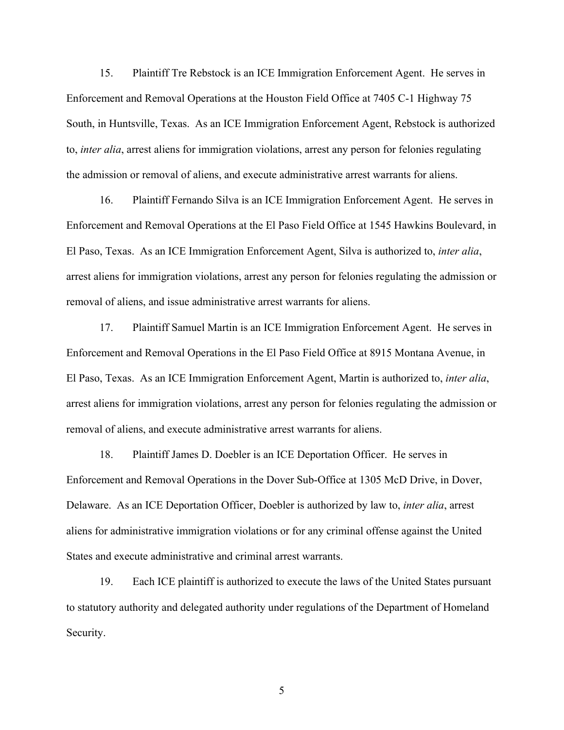15. Plaintiff Tre Rebstock is an ICE Immigration Enforcement Agent. He serves in Enforcement and Removal Operations at the Houston Field Office at 7405 C-1 Highway 75 South, in Huntsville, Texas. As an ICE Immigration Enforcement Agent, Rebstock is authorized to, *inter alia*, arrest aliens for immigration violations, arrest any person for felonies regulating the admission or removal of aliens, and execute administrative arrest warrants for aliens.

16. Plaintiff Fernando Silva is an ICE Immigration Enforcement Agent. He serves in Enforcement and Removal Operations at the El Paso Field Office at 1545 Hawkins Boulevard, in El Paso, Texas. As an ICE Immigration Enforcement Agent, Silva is authorized to, *inter alia*, arrest aliens for immigration violations, arrest any person for felonies regulating the admission or removal of aliens, and issue administrative arrest warrants for aliens.

17. Plaintiff Samuel Martin is an ICE Immigration Enforcement Agent. He serves in Enforcement and Removal Operations in the El Paso Field Office at 8915 Montana Avenue, in El Paso, Texas. As an ICE Immigration Enforcement Agent, Martin is authorized to, *inter alia*, arrest aliens for immigration violations, arrest any person for felonies regulating the admission or removal of aliens, and execute administrative arrest warrants for aliens.

18. Plaintiff James D. Doebler is an ICE Deportation Officer. He serves in Enforcement and Removal Operations in the Dover Sub-Office at 1305 McD Drive, in Dover, Delaware. As an ICE Deportation Officer, Doebler is authorized by law to, *inter alia*, arrest aliens for administrative immigration violations or for any criminal offense against the United States and execute administrative and criminal arrest warrants.

19. Each ICE plaintiff is authorized to execute the laws of the United States pursuant to statutory authority and delegated authority under regulations of the Department of Homeland Security.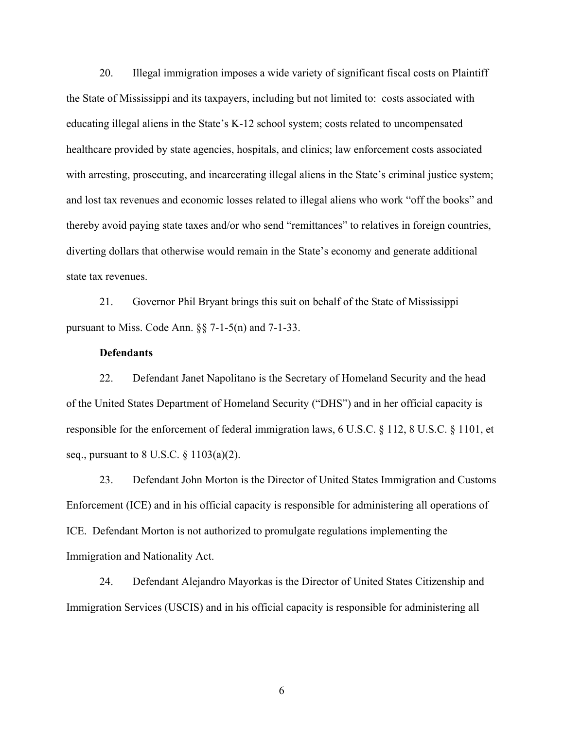20. Illegal immigration imposes a wide variety of significant fiscal costs on Plaintiff the State of Mississippi and its taxpayers, including but not limited to: costs associated with educating illegal aliens in the State's K-12 school system; costs related to uncompensated healthcare provided by state agencies, hospitals, and clinics; law enforcement costs associated with arresting, prosecuting, and incarcerating illegal aliens in the State's criminal justice system; and lost tax revenues and economic losses related to illegal aliens who work "off the books" and thereby avoid paying state taxes and/or who send "remittances" to relatives in foreign countries, diverting dollars that otherwise would remain in the State's economy and generate additional state tax revenues.

21. Governor Phil Bryant brings this suit on behalf of the State of Mississippi pursuant to Miss. Code Ann. §§ 7-1-5(n) and 7-1-33.

### **Defendants**

22. Defendant Janet Napolitano is the Secretary of Homeland Security and the head of the United States Department of Homeland Security ("DHS") and in her official capacity is responsible for the enforcement of federal immigration laws, 6 U.S.C. § 112, 8 U.S.C. § 1101, et seq., pursuant to 8 U.S.C. § 1103(a)(2).

23. Defendant John Morton is the Director of United States Immigration and Customs Enforcement (ICE) and in his official capacity is responsible for administering all operations of ICE. Defendant Morton is not authorized to promulgate regulations implementing the Immigration and Nationality Act.

24. Defendant Alejandro Mayorkas is the Director of United States Citizenship and Immigration Services (USCIS) and in his official capacity is responsible for administering all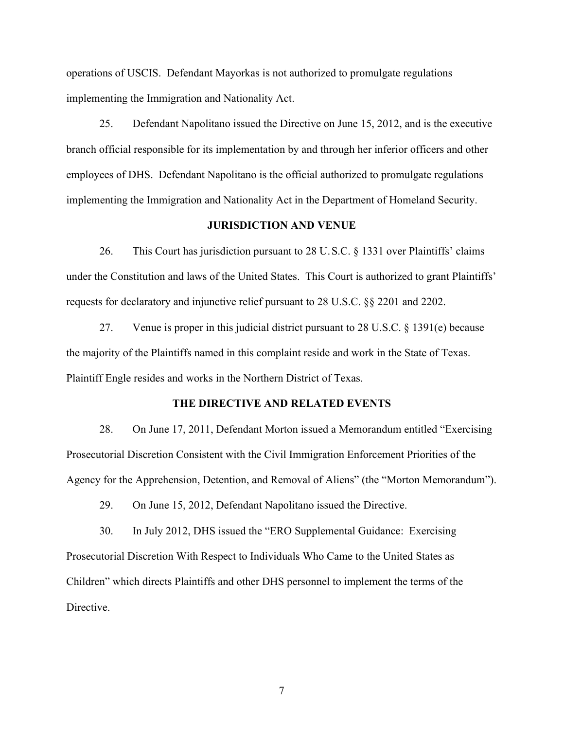operations of USCIS. Defendant Mayorkas is not authorized to promulgate regulations implementing the Immigration and Nationality Act.

25. Defendant Napolitano issued the Directive on June 15, 2012, and is the executive branch official responsible for its implementation by and through her inferior officers and other employees of DHS. Defendant Napolitano is the official authorized to promulgate regulations implementing the Immigration and Nationality Act in the Department of Homeland Security.

### **JURISDICTION AND VENUE**

26. This Court has jurisdiction pursuant to 28 U.S.C. § 1331 over Plaintiffs' claims under the Constitution and laws of the United States. This Court is authorized to grant Plaintiffs' requests for declaratory and injunctive relief pursuant to 28 U.S.C. §§ 2201 and 2202.

27. Venue is proper in this judicial district pursuant to 28 U.S.C. § 1391(e) because the majority of the Plaintiffs named in this complaint reside and work in the State of Texas. Plaintiff Engle resides and works in the Northern District of Texas.

#### **THE DIRECTIVE AND RELATED EVENTS**

28. On June 17, 2011, Defendant Morton issued a Memorandum entitled "Exercising Prosecutorial Discretion Consistent with the Civil Immigration Enforcement Priorities of the Agency for the Apprehension, Detention, and Removal of Aliens" (the "Morton Memorandum").

29. On June 15, 2012, Defendant Napolitano issued the Directive.

30. In July 2012, DHS issued the "ERO Supplemental Guidance: Exercising Prosecutorial Discretion With Respect to Individuals Who Came to the United States as Children" which directs Plaintiffs and other DHS personnel to implement the terms of the Directive.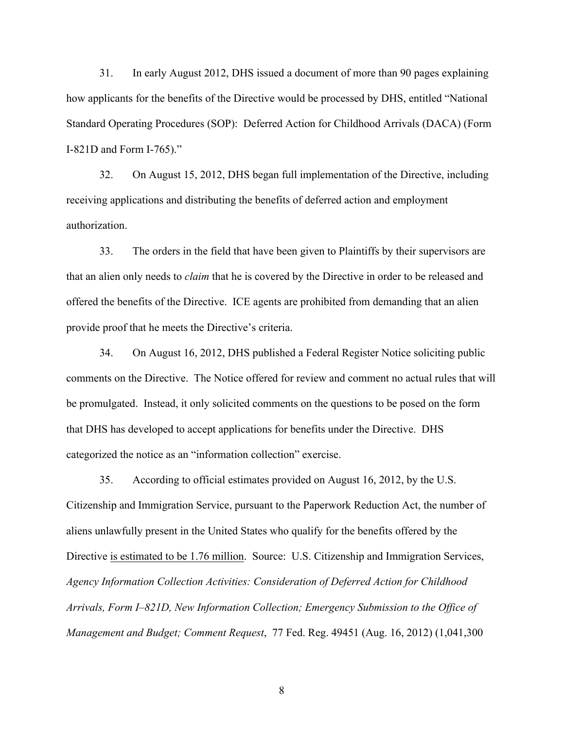31. In early August 2012, DHS issued a document of more than 90 pages explaining how applicants for the benefits of the Directive would be processed by DHS, entitled "National Standard Operating Procedures (SOP): Deferred Action for Childhood Arrivals (DACA) (Form I-821D and Form I-765)."

32. On August 15, 2012, DHS began full implementation of the Directive, including receiving applications and distributing the benefits of deferred action and employment authorization.

33. The orders in the field that have been given to Plaintiffs by their supervisors are that an alien only needs to *claim* that he is covered by the Directive in order to be released and offered the benefits of the Directive. ICE agents are prohibited from demanding that an alien provide proof that he meets the Directive's criteria.

34. On August 16, 2012, DHS published a Federal Register Notice soliciting public comments on the Directive. The Notice offered for review and comment no actual rules that will be promulgated. Instead, it only solicited comments on the questions to be posed on the form that DHS has developed to accept applications for benefits under the Directive. DHS categorized the notice as an "information collection" exercise.

35. According to official estimates provided on August 16, 2012, by the U.S. Citizenship and Immigration Service, pursuant to the Paperwork Reduction Act, the number of aliens unlawfully present in the United States who qualify for the benefits offered by the Directive is estimated to be 1.76 million. Source: U.S. Citizenship and Immigration Services, *Agency Information Collection Activities: Consideration of Deferred Action for Childhood Arrivals, Form I–821D, New Information Collection; Emergency Submission to the Office of Management and Budget; Comment Request*, 77 Fed. Reg. 49451 (Aug. 16, 2012) (1,041,300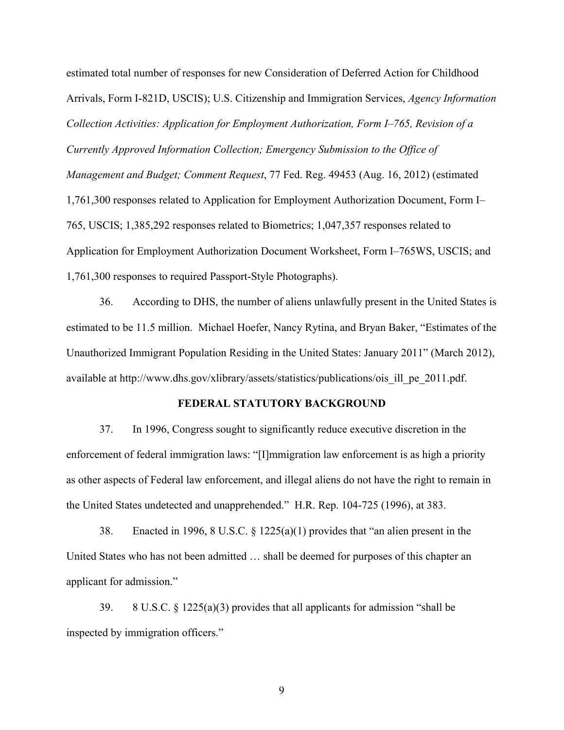estimated total number of responses for new Consideration of Deferred Action for Childhood Arrivals, Form I-821D, USCIS); U.S. Citizenship and Immigration Services, *Agency Information Collection Activities: Application for Employment Authorization, Form I–765, Revision of a Currently Approved Information Collection; Emergency Submission to the Office of Management and Budget; Comment Request*, 77 Fed. Reg. 49453 (Aug. 16, 2012) (estimated 1,761,300 responses related to Application for Employment Authorization Document, Form I– 765, USCIS; 1,385,292 responses related to Biometrics; 1,047,357 responses related to Application for Employment Authorization Document Worksheet, Form I–765WS, USCIS; and 1,761,300 responses to required Passport-Style Photographs).

36. According to DHS, the number of aliens unlawfully present in the United States is estimated to be 11.5 million. Michael Hoefer, Nancy Rytina, and Bryan Baker, "Estimates of the Unauthorized Immigrant Population Residing in the United States: January 2011" (March 2012), available at http://www.dhs.gov/xlibrary/assets/statistics/publications/ois\_ill\_pe\_2011.pdf.

#### **FEDERAL STATUTORY BACKGROUND**

37. In 1996, Congress sought to significantly reduce executive discretion in the enforcement of federal immigration laws: "[I]mmigration law enforcement is as high a priority as other aspects of Federal law enforcement, and illegal aliens do not have the right to remain in the United States undetected and unapprehended." H.R. Rep. 104-725 (1996), at 383.

38. Enacted in 1996, 8 U.S.C. § 1225(a)(1) provides that "an alien present in the United States who has not been admitted … shall be deemed for purposes of this chapter an applicant for admission."

39. 8 U.S.C.  $\S$  1225(a)(3) provides that all applicants for admission "shall be inspected by immigration officers."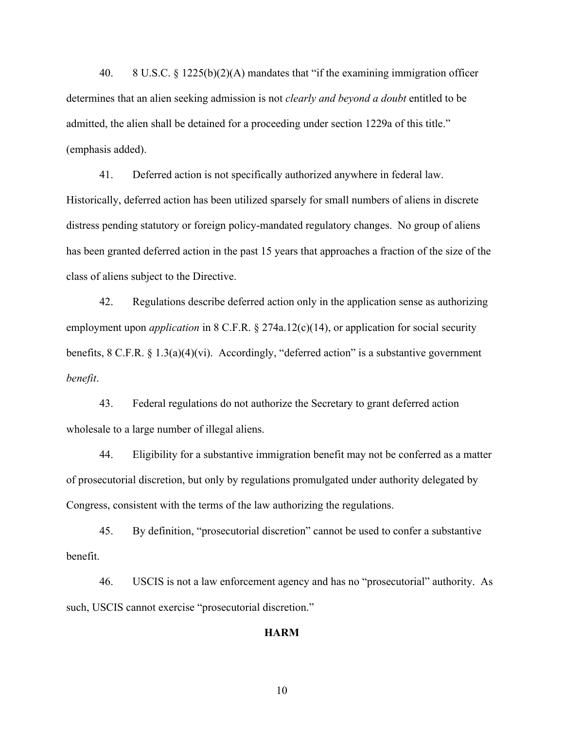40. 8 U.S.C. § 1225(b)(2)(A) mandates that "if the examining immigration officer determines that an alien seeking admission is not *clearly and beyond a doubt* entitled to be admitted, the alien shall be detained for a proceeding under section 1229a of this title." (emphasis added).

41. Deferred action is not specifically authorized anywhere in federal law. Historically, deferred action has been utilized sparsely for small numbers of aliens in discrete distress pending statutory or foreign policy-mandated regulatory changes. No group of aliens has been granted deferred action in the past 15 years that approaches a fraction of the size of the class of aliens subject to the Directive.

42. Regulations describe deferred action only in the application sense as authorizing employment upon *application* in 8 C.F.R. § 274a.12(c)(14), or application for social security benefits, 8 C.F.R. § 1.3(a)(4)(vi). Accordingly, "deferred action" is a substantive government *benefit*.

43. Federal regulations do not authorize the Secretary to grant deferred action wholesale to a large number of illegal aliens.

44. Eligibility for a substantive immigration benefit may not be conferred as a matter of prosecutorial discretion, but only by regulations promulgated under authority delegated by Congress, consistent with the terms of the law authorizing the regulations.

45. By definition, "prosecutorial discretion" cannot be used to confer a substantive benefit.

46. USCIS is not a law enforcement agency and has no "prosecutorial" authority. As such, USCIS cannot exercise "prosecutorial discretion."

#### **HARM**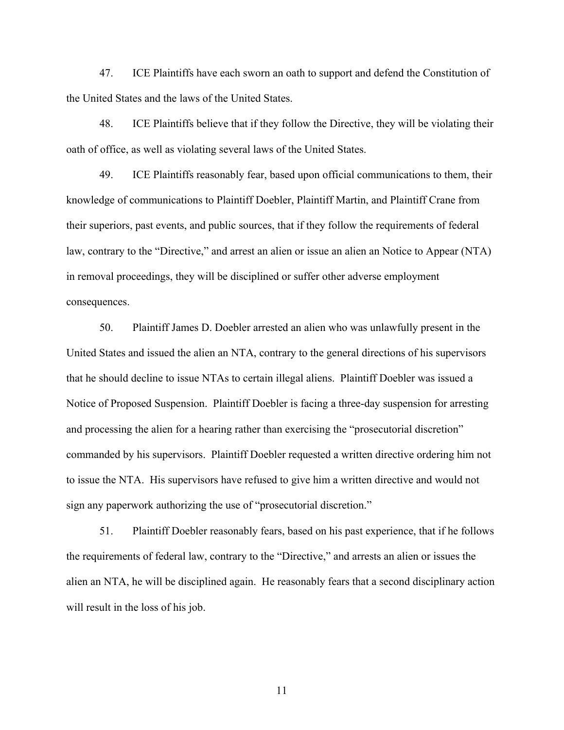47. ICE Plaintiffs have each sworn an oath to support and defend the Constitution of the United States and the laws of the United States.

48. ICE Plaintiffs believe that if they follow the Directive, they will be violating their oath of office, as well as violating several laws of the United States.

49. ICE Plaintiffs reasonably fear, based upon official communications to them, their knowledge of communications to Plaintiff Doebler, Plaintiff Martin, and Plaintiff Crane from their superiors, past events, and public sources, that if they follow the requirements of federal law, contrary to the "Directive," and arrest an alien or issue an alien an Notice to Appear (NTA) in removal proceedings, they will be disciplined or suffer other adverse employment consequences.

50. Plaintiff James D. Doebler arrested an alien who was unlawfully present in the United States and issued the alien an NTA, contrary to the general directions of his supervisors that he should decline to issue NTAs to certain illegal aliens. Plaintiff Doebler was issued a Notice of Proposed Suspension. Plaintiff Doebler is facing a three-day suspension for arresting and processing the alien for a hearing rather than exercising the "prosecutorial discretion" commanded by his supervisors. Plaintiff Doebler requested a written directive ordering him not to issue the NTA. His supervisors have refused to give him a written directive and would not sign any paperwork authorizing the use of "prosecutorial discretion."

51. Plaintiff Doebler reasonably fears, based on his past experience, that if he follows the requirements of federal law, contrary to the "Directive," and arrests an alien or issues the alien an NTA, he will be disciplined again. He reasonably fears that a second disciplinary action will result in the loss of his job.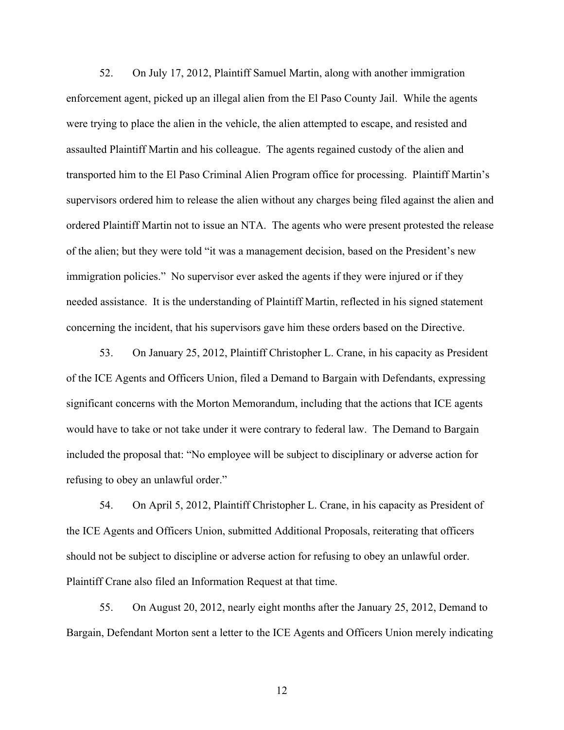52. On July 17, 2012, Plaintiff Samuel Martin, along with another immigration enforcement agent, picked up an illegal alien from the El Paso County Jail. While the agents were trying to place the alien in the vehicle, the alien attempted to escape, and resisted and assaulted Plaintiff Martin and his colleague. The agents regained custody of the alien and transported him to the El Paso Criminal Alien Program office for processing. Plaintiff Martin's supervisors ordered him to release the alien without any charges being filed against the alien and ordered Plaintiff Martin not to issue an NTA. The agents who were present protested the release of the alien; but they were told "it was a management decision, based on the President's new immigration policies." No supervisor ever asked the agents if they were injured or if they needed assistance. It is the understanding of Plaintiff Martin, reflected in his signed statement concerning the incident, that his supervisors gave him these orders based on the Directive.

53. On January 25, 2012, Plaintiff Christopher L. Crane, in his capacity as President of the ICE Agents and Officers Union, filed a Demand to Bargain with Defendants, expressing significant concerns with the Morton Memorandum, including that the actions that ICE agents would have to take or not take under it were contrary to federal law. The Demand to Bargain included the proposal that: "No employee will be subject to disciplinary or adverse action for refusing to obey an unlawful order."

54. On April 5, 2012, Plaintiff Christopher L. Crane, in his capacity as President of the ICE Agents and Officers Union, submitted Additional Proposals, reiterating that officers should not be subject to discipline or adverse action for refusing to obey an unlawful order. Plaintiff Crane also filed an Information Request at that time.

55. On August 20, 2012, nearly eight months after the January 25, 2012, Demand to Bargain, Defendant Morton sent a letter to the ICE Agents and Officers Union merely indicating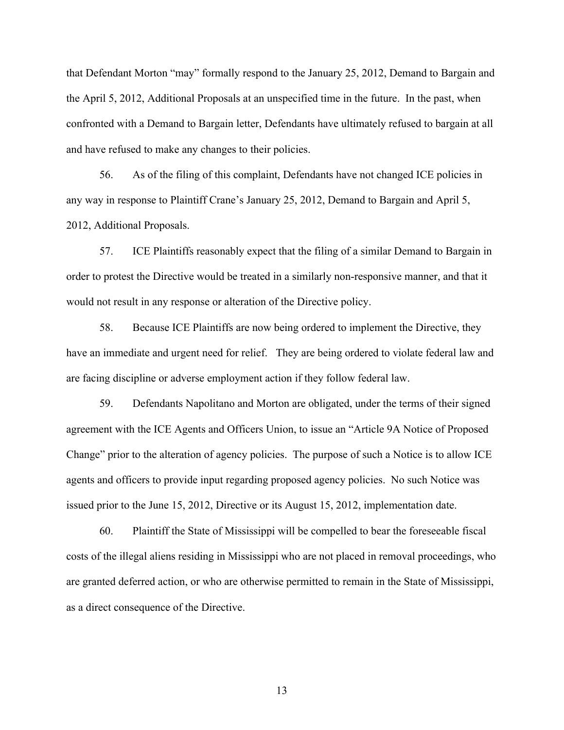that Defendant Morton "may" formally respond to the January 25, 2012, Demand to Bargain and the April 5, 2012, Additional Proposals at an unspecified time in the future. In the past, when confronted with a Demand to Bargain letter, Defendants have ultimately refused to bargain at all and have refused to make any changes to their policies.

56. As of the filing of this complaint, Defendants have not changed ICE policies in any way in response to Plaintiff Crane's January 25, 2012, Demand to Bargain and April 5, 2012, Additional Proposals.

57. ICE Plaintiffs reasonably expect that the filing of a similar Demand to Bargain in order to protest the Directive would be treated in a similarly non-responsive manner, and that it would not result in any response or alteration of the Directive policy.

58. Because ICE Plaintiffs are now being ordered to implement the Directive, they have an immediate and urgent need for relief. They are being ordered to violate federal law and are facing discipline or adverse employment action if they follow federal law.

59. Defendants Napolitano and Morton are obligated, under the terms of their signed agreement with the ICE Agents and Officers Union, to issue an "Article 9A Notice of Proposed Change" prior to the alteration of agency policies. The purpose of such a Notice is to allow ICE agents and officers to provide input regarding proposed agency policies. No such Notice was issued prior to the June 15, 2012, Directive or its August 15, 2012, implementation date.

60. Plaintiff the State of Mississippi will be compelled to bear the foreseeable fiscal costs of the illegal aliens residing in Mississippi who are not placed in removal proceedings, who are granted deferred action, or who are otherwise permitted to remain in the State of Mississippi, as a direct consequence of the Directive.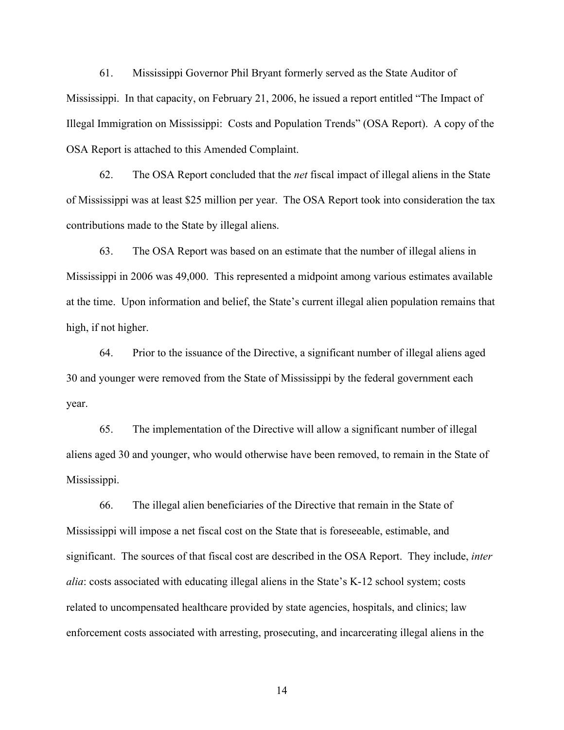61. Mississippi Governor Phil Bryant formerly served as the State Auditor of Mississippi. In that capacity, on February 21, 2006, he issued a report entitled "The Impact of Illegal Immigration on Mississippi: Costs and Population Trends" (OSA Report). A copy of the OSA Report is attached to this Amended Complaint.

62. The OSA Report concluded that the *net* fiscal impact of illegal aliens in the State of Mississippi was at least \$25 million per year. The OSA Report took into consideration the tax contributions made to the State by illegal aliens.

63. The OSA Report was based on an estimate that the number of illegal aliens in Mississippi in 2006 was 49,000. This represented a midpoint among various estimates available at the time. Upon information and belief, the State's current illegal alien population remains that high, if not higher.

64. Prior to the issuance of the Directive, a significant number of illegal aliens aged 30 and younger were removed from the State of Mississippi by the federal government each year.

65. The implementation of the Directive will allow a significant number of illegal aliens aged 30 and younger, who would otherwise have been removed, to remain in the State of Mississippi.

66. The illegal alien beneficiaries of the Directive that remain in the State of Mississippi will impose a net fiscal cost on the State that is foreseeable, estimable, and significant. The sources of that fiscal cost are described in the OSA Report. They include, *inter alia*: costs associated with educating illegal aliens in the State's K-12 school system; costs related to uncompensated healthcare provided by state agencies, hospitals, and clinics; law enforcement costs associated with arresting, prosecuting, and incarcerating illegal aliens in the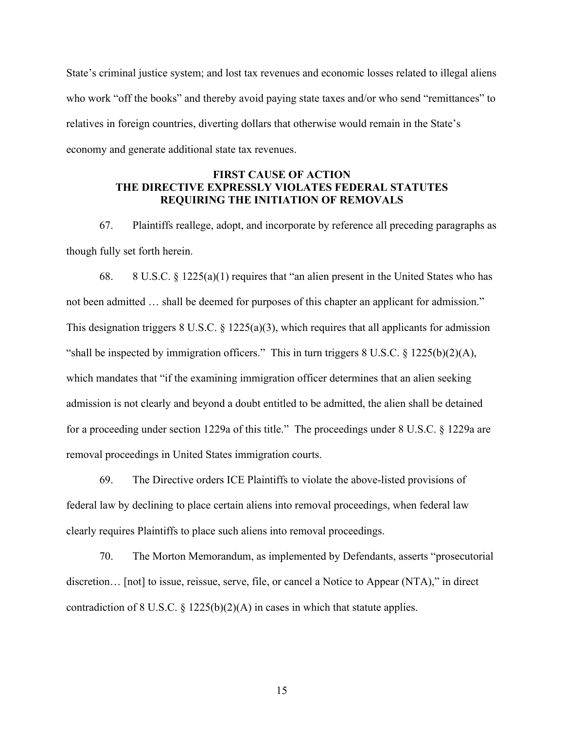State's criminal justice system; and lost tax revenues and economic losses related to illegal aliens who work "off the books" and thereby avoid paying state taxes and/or who send "remittances" to relatives in foreign countries, diverting dollars that otherwise would remain in the State's economy and generate additional state tax revenues.

# **FIRST CAUSE OF ACTION THE DIRECTIVE EXPRESSLY VIOLATES FEDERAL STATUTES REQUIRING THE INITIATION OF REMOVALS**

67. Plaintiffs reallege, adopt, and incorporate by reference all preceding paragraphs as though fully set forth herein.

68. 8 U.S.C. § 1225(a)(1) requires that "an alien present in the United States who has not been admitted … shall be deemed for purposes of this chapter an applicant for admission." This designation triggers  $8 \text{ U.S.C. } \frac{8}{225(a)(3)}$ , which requires that all applicants for admission "shall be inspected by immigration officers." This in turn triggers  $8 \text{ U.S.C. } \frac{225(b)(2)(A)}{A}$ , which mandates that "if the examining immigration officer determines that an alien seeking admission is not clearly and beyond a doubt entitled to be admitted, the alien shall be detained for a proceeding under section 1229a of this title." The proceedings under 8 U.S.C. § 1229a are removal proceedings in United States immigration courts.

69. The Directive orders ICE Plaintiffs to violate the above-listed provisions of federal law by declining to place certain aliens into removal proceedings, when federal law clearly requires Plaintiffs to place such aliens into removal proceedings.

70. The Morton Memorandum, as implemented by Defendants, asserts "prosecutorial discretion… [not] to issue, reissue, serve, file, or cancel a Notice to Appear (NTA)," in direct contradiction of 8 U.S.C. § 1225(b)(2)(A) in cases in which that statute applies.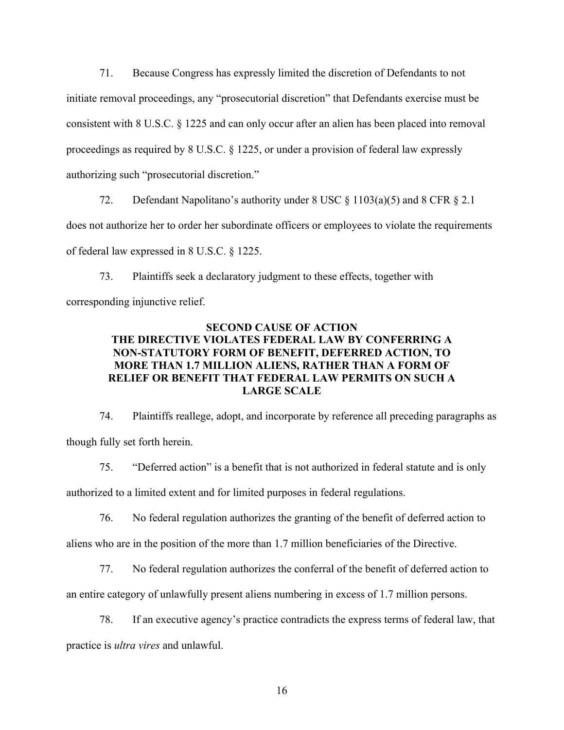71. Because Congress has expressly limited the discretion of Defendants to not initiate removal proceedings, any "prosecutorial discretion" that Defendants exercise must be consistent with 8 U.S.C. § 1225 and can only occur after an alien has been placed into removal proceedings as required by 8 U.S.C. § 1225, or under a provision of federal law expressly authorizing such "prosecutorial discretion."

72. Defendant Napolitano's authority under 8 USC § 1103(a)(5) and 8 CFR § 2.1 does not authorize her to order her subordinate officers or employees to violate the requirements of federal law expressed in 8 U.S.C. § 1225.

73. Plaintiffs seek a declaratory judgment to these effects, together with corresponding injunctive relief.

# **SECOND CAUSE OF ACTION THE DIRECTIVE VIOLATES FEDERAL LAW BY CONFERRING A NON-STATUTORY FORM OF BENEFIT, DEFERRED ACTION, TO MORE THAN 1.7 MILLION ALIENS, RATHER THAN A FORM OF RELIEF OR BENEFIT THAT FEDERAL LAW PERMITS ON SUCH A LARGE SCALE**

74. Plaintiffs reallege, adopt, and incorporate by reference all preceding paragraphs as though fully set forth herein.

75. "Deferred action" is a benefit that is not authorized in federal statute and is only authorized to a limited extent and for limited purposes in federal regulations.

76. No federal regulation authorizes the granting of the benefit of deferred action to aliens who are in the position of the more than 1.7 million beneficiaries of the Directive.

77. No federal regulation authorizes the conferral of the benefit of deferred action to an entire category of unlawfully present aliens numbering in excess of 1.7 million persons.

78. If an executive agency's practice contradicts the express terms of federal law, that practice is *ultra vires* and unlawful.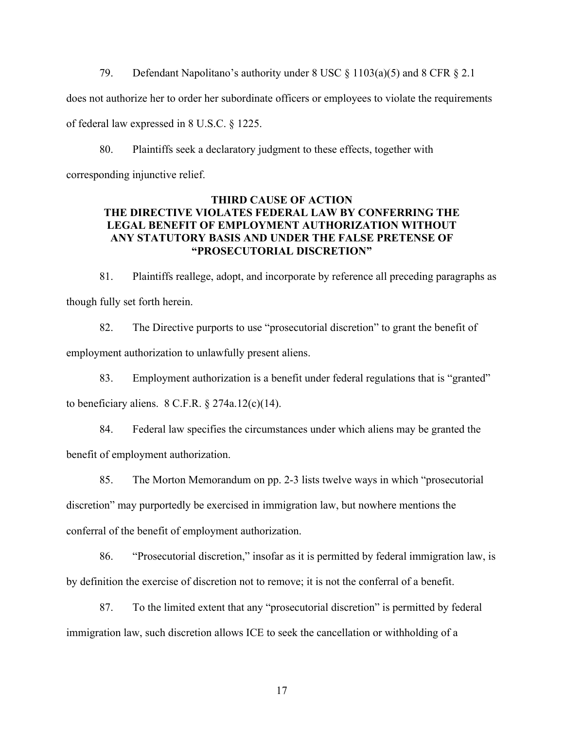79. Defendant Napolitano's authority under 8 USC § 1103(a)(5) and 8 CFR § 2.1 does not authorize her to order her subordinate officers or employees to violate the requirements of federal law expressed in 8 U.S.C. § 1225.

80. Plaintiffs seek a declaratory judgment to these effects, together with corresponding injunctive relief.

### **THIRD CAUSE OF ACTION THE DIRECTIVE VIOLATES FEDERAL LAW BY CONFERRING THE LEGAL BENEFIT OF EMPLOYMENT AUTHORIZATION WITHOUT ANY STATUTORY BASIS AND UNDER THE FALSE PRETENSE OF "PROSECUTORIAL DISCRETION"**

81. Plaintiffs reallege, adopt, and incorporate by reference all preceding paragraphs as though fully set forth herein.

82. The Directive purports to use "prosecutorial discretion" to grant the benefit of employment authorization to unlawfully present aliens.

83. Employment authorization is a benefit under federal regulations that is "granted" to beneficiary aliens.  $8 \text{ C.F.R.}$   $\S 274a.12(c)(14)$ .

84. Federal law specifies the circumstances under which aliens may be granted the benefit of employment authorization.

85. The Morton Memorandum on pp. 2-3 lists twelve ways in which "prosecutorial discretion" may purportedly be exercised in immigration law, but nowhere mentions the conferral of the benefit of employment authorization.

86. "Prosecutorial discretion," insofar as it is permitted by federal immigration law, is by definition the exercise of discretion not to remove; it is not the conferral of a benefit.

87. To the limited extent that any "prosecutorial discretion" is permitted by federal immigration law, such discretion allows ICE to seek the cancellation or withholding of a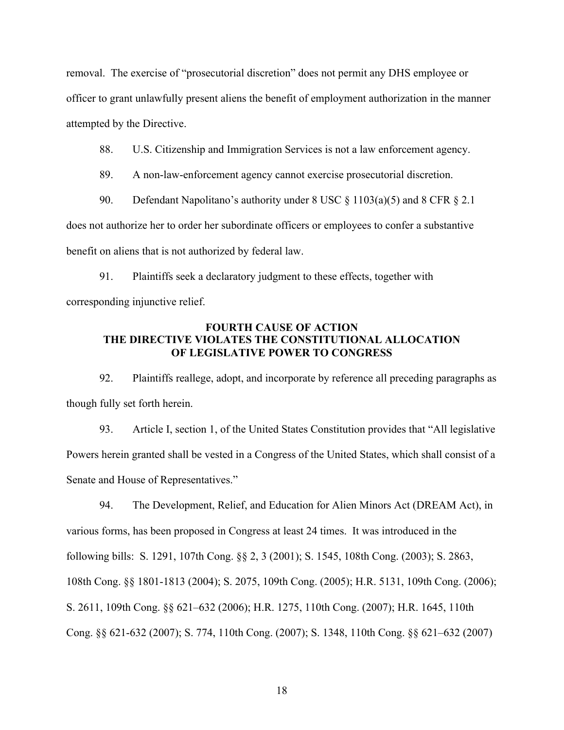removal. The exercise of "prosecutorial discretion" does not permit any DHS employee or officer to grant unlawfully present aliens the benefit of employment authorization in the manner attempted by the Directive.

88. U.S. Citizenship and Immigration Services is not a law enforcement agency.

89. A non-law-enforcement agency cannot exercise prosecutorial discretion.

90. Defendant Napolitano's authority under 8 USC § 1103(a)(5) and 8 CFR § 2.1 does not authorize her to order her subordinate officers or employees to confer a substantive benefit on aliens that is not authorized by federal law.

91. Plaintiffs seek a declaratory judgment to these effects, together with corresponding injunctive relief.

### **FOURTH CAUSE OF ACTION THE DIRECTIVE VIOLATES THE CONSTITUTIONAL ALLOCATION OF LEGISLATIVE POWER TO CONGRESS**

92. Plaintiffs reallege, adopt, and incorporate by reference all preceding paragraphs as though fully set forth herein.

93. Article I, section 1, of the United States Constitution provides that "All legislative Powers herein granted shall be vested in a Congress of the United States, which shall consist of a Senate and House of Representatives."

94. The Development, Relief, and Education for Alien Minors Act (DREAM Act), in various forms, has been proposed in Congress at least 24 times. It was introduced in the following bills: S. 1291, 107th Cong. §§ 2, 3 (2001); S. 1545, 108th Cong. (2003); S. 2863, 108th Cong. §§ 1801-1813 (2004); S. 2075, 109th Cong. (2005); H.R. 5131, 109th Cong. (2006); S. 2611, 109th Cong. §§ 621–632 (2006); H.R. 1275, 110th Cong. (2007); H.R. 1645, 110th Cong. §§ 621-632 (2007); S. 774, 110th Cong. (2007); S. 1348, 110th Cong. §§ 621–632 (2007)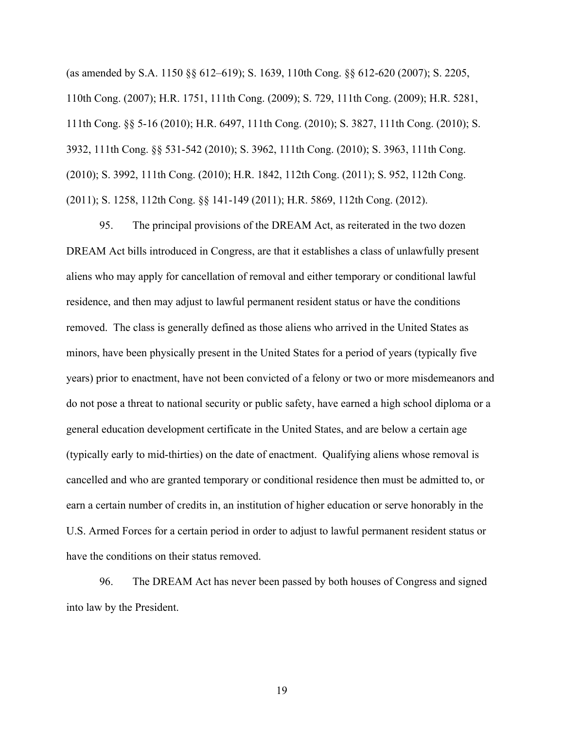(as amended by S.A. 1150 §§ 612–619); S. 1639, 110th Cong. §§ 612-620 (2007); S. 2205, 110th Cong. (2007); H.R. 1751, 111th Cong. (2009); S. 729, 111th Cong. (2009); H.R. 5281, 111th Cong. §§ 5-16 (2010); H.R. 6497, 111th Cong. (2010); S. 3827, 111th Cong. (2010); S. 3932, 111th Cong. §§ 531-542 (2010); S. 3962, 111th Cong. (2010); S. 3963, 111th Cong. (2010); S. 3992, 111th Cong. (2010); H.R. 1842, 112th Cong. (2011); S. 952, 112th Cong. (2011); S. 1258, 112th Cong. §§ 141-149 (2011); H.R. 5869, 112th Cong. (2012).

95. The principal provisions of the DREAM Act, as reiterated in the two dozen DREAM Act bills introduced in Congress, are that it establishes a class of unlawfully present aliens who may apply for cancellation of removal and either temporary or conditional lawful residence, and then may adjust to lawful permanent resident status or have the conditions removed. The class is generally defined as those aliens who arrived in the United States as minors, have been physically present in the United States for a period of years (typically five years) prior to enactment, have not been convicted of a felony or two or more misdemeanors and do not pose a threat to national security or public safety, have earned a high school diploma or a general education development certificate in the United States, and are below a certain age (typically early to mid-thirties) on the date of enactment. Qualifying aliens whose removal is cancelled and who are granted temporary or conditional residence then must be admitted to, or earn a certain number of credits in, an institution of higher education or serve honorably in the U.S. Armed Forces for a certain period in order to adjust to lawful permanent resident status or have the conditions on their status removed.

96. The DREAM Act has never been passed by both houses of Congress and signed into law by the President.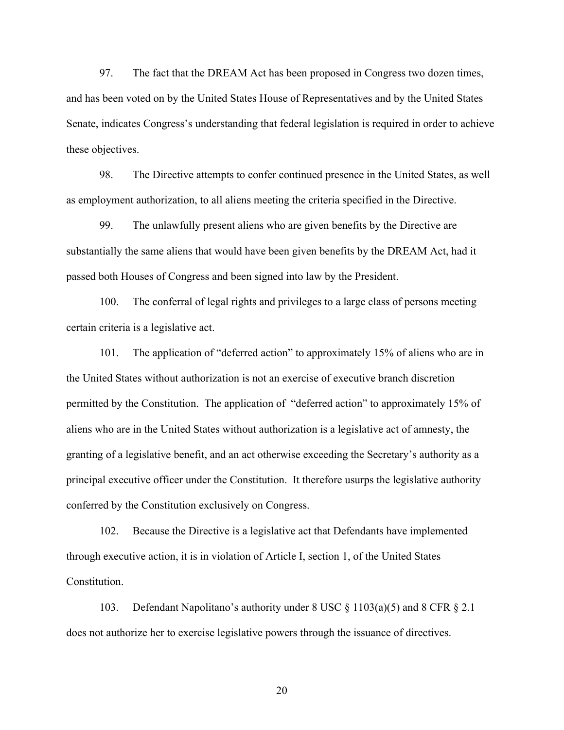97. The fact that the DREAM Act has been proposed in Congress two dozen times, and has been voted on by the United States House of Representatives and by the United States Senate, indicates Congress's understanding that federal legislation is required in order to achieve these objectives.

98. The Directive attempts to confer continued presence in the United States, as well as employment authorization, to all aliens meeting the criteria specified in the Directive.

99. The unlawfully present aliens who are given benefits by the Directive are substantially the same aliens that would have been given benefits by the DREAM Act, had it passed both Houses of Congress and been signed into law by the President.

100. The conferral of legal rights and privileges to a large class of persons meeting certain criteria is a legislative act.

101. The application of "deferred action" to approximately 15% of aliens who are in the United States without authorization is not an exercise of executive branch discretion permitted by the Constitution. The application of "deferred action" to approximately 15% of aliens who are in the United States without authorization is a legislative act of amnesty, the granting of a legislative benefit, and an act otherwise exceeding the Secretary's authority as a principal executive officer under the Constitution. It therefore usurps the legislative authority conferred by the Constitution exclusively on Congress.

102. Because the Directive is a legislative act that Defendants have implemented through executive action, it is in violation of Article I, section 1, of the United States Constitution.

103. Defendant Napolitano's authority under 8 USC § 1103(a)(5) and 8 CFR § 2.1 does not authorize her to exercise legislative powers through the issuance of directives.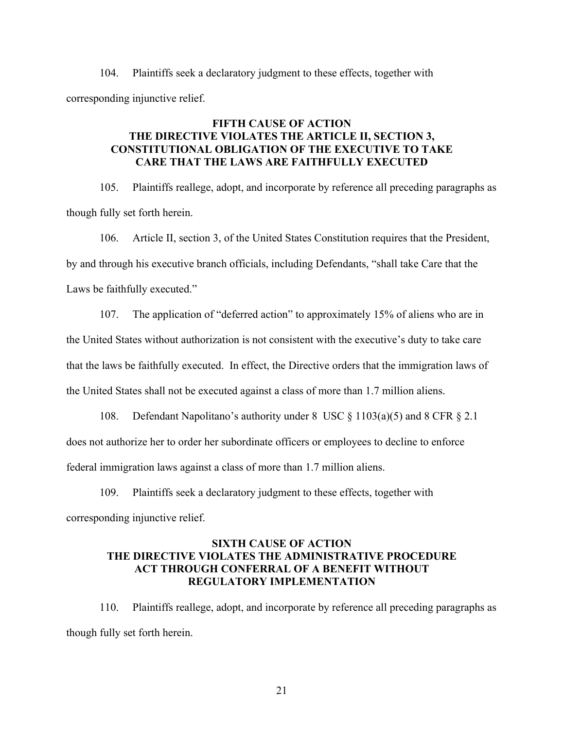104. Plaintiffs seek a declaratory judgment to these effects, together with corresponding injunctive relief.

# **FIFTH CAUSE OF ACTION THE DIRECTIVE VIOLATES THE ARTICLE II, SECTION 3, CONSTITUTIONAL OBLIGATION OF THE EXECUTIVE TO TAKE CARE THAT THE LAWS ARE FAITHFULLY EXECUTED**

105. Plaintiffs reallege, adopt, and incorporate by reference all preceding paragraphs as though fully set forth herein.

106. Article II, section 3, of the United States Constitution requires that the President, by and through his executive branch officials, including Defendants, "shall take Care that the Laws be faithfully executed."

107. The application of "deferred action" to approximately 15% of aliens who are in the United States without authorization is not consistent with the executive's duty to take care that the laws be faithfully executed. In effect, the Directive orders that the immigration laws of the United States shall not be executed against a class of more than 1.7 million aliens.

108. Defendant Napolitano's authority under 8 USC § 1103(a)(5) and 8 CFR § 2.1 does not authorize her to order her subordinate officers or employees to decline to enforce federal immigration laws against a class of more than 1.7 million aliens.

109. Plaintiffs seek a declaratory judgment to these effects, together with corresponding injunctive relief.

## **SIXTH CAUSE OF ACTION THE DIRECTIVE VIOLATES THE ADMINISTRATIVE PROCEDURE ACT THROUGH CONFERRAL OF A BENEFIT WITHOUT REGULATORY IMPLEMENTATION**

110. Plaintiffs reallege, adopt, and incorporate by reference all preceding paragraphs as though fully set forth herein.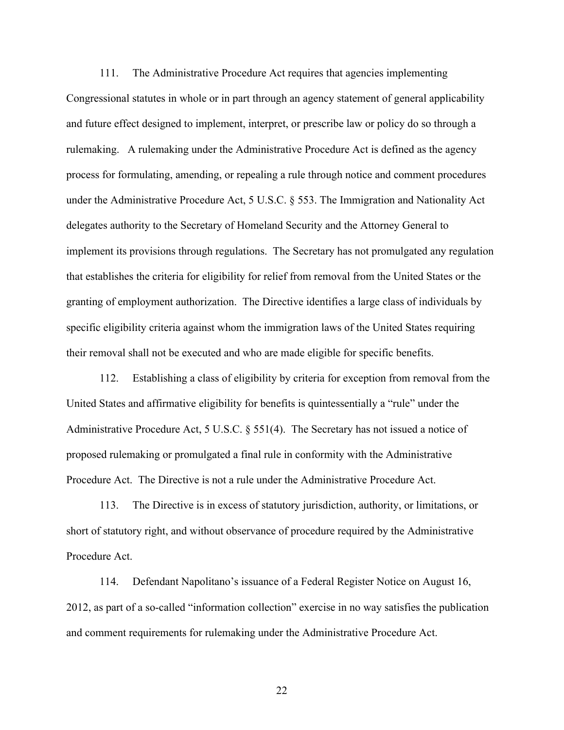111. The Administrative Procedure Act requires that agencies implementing Congressional statutes in whole or in part through an agency statement of general applicability and future effect designed to implement, interpret, or prescribe law or policy do so through a rulemaking. A rulemaking under the Administrative Procedure Act is defined as the agency process for formulating, amending, or repealing a rule through notice and comment procedures under the Administrative Procedure Act, 5 U.S.C. § 553. The Immigration and Nationality Act delegates authority to the Secretary of Homeland Security and the Attorney General to implement its provisions through regulations. The Secretary has not promulgated any regulation that establishes the criteria for eligibility for relief from removal from the United States or the granting of employment authorization. The Directive identifies a large class of individuals by specific eligibility criteria against whom the immigration laws of the United States requiring their removal shall not be executed and who are made eligible for specific benefits.

112. Establishing a class of eligibility by criteria for exception from removal from the United States and affirmative eligibility for benefits is quintessentially a "rule" under the Administrative Procedure Act, 5 U.S.C. § 551(4). The Secretary has not issued a notice of proposed rulemaking or promulgated a final rule in conformity with the Administrative Procedure Act. The Directive is not a rule under the Administrative Procedure Act.

113. The Directive is in excess of statutory jurisdiction, authority, or limitations, or short of statutory right, and without observance of procedure required by the Administrative Procedure Act.

114. Defendant Napolitano's issuance of a Federal Register Notice on August 16, 2012, as part of a so-called "information collection" exercise in no way satisfies the publication and comment requirements for rulemaking under the Administrative Procedure Act.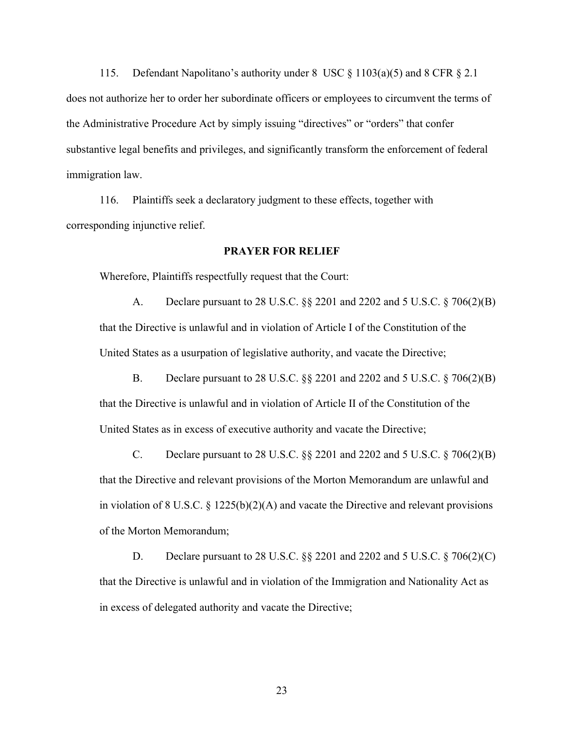115. Defendant Napolitano's authority under 8 USC § 1103(a)(5) and 8 CFR § 2.1 does not authorize her to order her subordinate officers or employees to circumvent the terms of the Administrative Procedure Act by simply issuing "directives" or "orders" that confer substantive legal benefits and privileges, and significantly transform the enforcement of federal immigration law.

116. Plaintiffs seek a declaratory judgment to these effects, together with corresponding injunctive relief.

### **PRAYER FOR RELIEF**

Wherefore, Plaintiffs respectfully request that the Court:

A. Declare pursuant to 28 U.S.C. §§ 2201 and 2202 and 5 U.S.C. § 706(2)(B) that the Directive is unlawful and in violation of Article I of the Constitution of the United States as a usurpation of legislative authority, and vacate the Directive;

B. Declare pursuant to 28 U.S.C. §§ 2201 and 2202 and 5 U.S.C. § 706(2)(B) that the Directive is unlawful and in violation of Article II of the Constitution of the United States as in excess of executive authority and vacate the Directive;

C. Declare pursuant to 28 U.S.C. §§ 2201 and 2202 and 5 U.S.C. § 706(2)(B) that the Directive and relevant provisions of the Morton Memorandum are unlawful and in violation of 8 U.S.C. § 1225(b)(2)(A) and vacate the Directive and relevant provisions of the Morton Memorandum;

D. Declare pursuant to 28 U.S.C. §§ 2201 and 2202 and 5 U.S.C. § 706(2)(C) that the Directive is unlawful and in violation of the Immigration and Nationality Act as in excess of delegated authority and vacate the Directive;